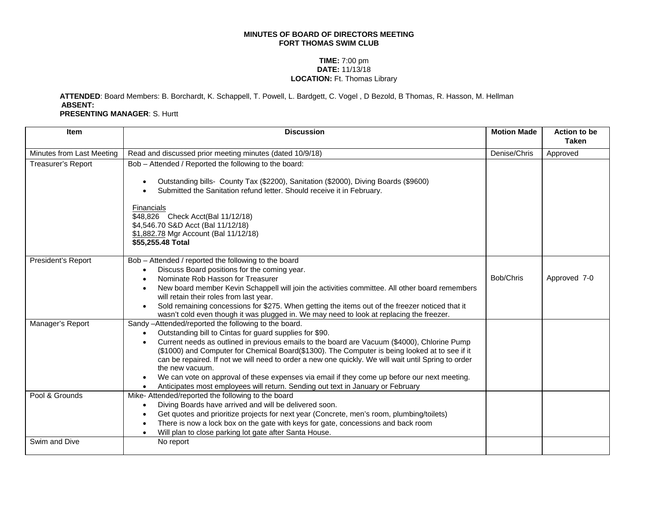## **MINUTES OF BOARD OF DIRECTORS MEETING FORT THOMAS SWIM CLUB**

## **TIME:** 7:00 pm **DATE:** 11/13/18 **LOCATION:** Ft. Thomas Library

## **ATTENDED**: Board Members: B. Borchardt, K. Schappell, T. Powell, L. Bardgett, C. Vogel , D Bezold, B Thomas, R. Hasson, M. Hellman **ABSENT: PRESENTING MANAGER**: S. Hurtt

| <b>Item</b>               | <b>Discussion</b>                                                                                                                                                                                                                                                                                                                                                                                                                                                                                                                                                                                                                                                     | <b>Motion Made</b> | <b>Action to be</b><br><b>Taken</b> |
|---------------------------|-----------------------------------------------------------------------------------------------------------------------------------------------------------------------------------------------------------------------------------------------------------------------------------------------------------------------------------------------------------------------------------------------------------------------------------------------------------------------------------------------------------------------------------------------------------------------------------------------------------------------------------------------------------------------|--------------------|-------------------------------------|
| Minutes from Last Meeting | Read and discussed prior meeting minutes (dated 10/9/18)                                                                                                                                                                                                                                                                                                                                                                                                                                                                                                                                                                                                              | Denise/Chris       | Approved                            |
| <b>Treasurer's Report</b> | Bob - Attended / Reported the following to the board:<br>Outstanding bills- County Tax (\$2200), Sanitation (\$2000), Diving Boards (\$9600)<br>$\bullet$<br>Submitted the Sanitation refund letter. Should receive it in February.<br>Financials<br>\$48,826 Check Acct(Bal 11/12/18)<br>\$4,546.70 S&D Acct (Bal 11/12/18)<br>\$1,882.78 Mgr Account (Bal 11/12/18)<br>\$55,255.48 Total                                                                                                                                                                                                                                                                            |                    |                                     |
| President's Report        | Bob - Attended / reported the following to the board<br>Discuss Board positions for the coming year.<br>$\bullet$<br>Nominate Rob Hasson for Treasurer<br>$\bullet$<br>New board member Kevin Schappell will join the activities committee. All other board remembers<br>$\bullet$<br>will retain their roles from last year.<br>Sold remaining concessions for \$275. When getting the items out of the freezer noticed that it<br>$\bullet$<br>wasn't cold even though it was plugged in. We may need to look at replacing the freezer.                                                                                                                             | Bob/Chris          | Approved 7-0                        |
| Manager's Report          | Sandy -Attended/reported the following to the board.<br>Outstanding bill to Cintas for guard supplies for \$90.<br>$\bullet$<br>Current needs as outlined in previous emails to the board are Vacuum (\$4000), Chlorine Pump<br>$\bullet$<br>(\$1000) and Computer for Chemical Board(\$1300). The Computer is being looked at to see if it<br>can be repaired. If not we will need to order a new one quickly. We will wait until Spring to order<br>the new vacuum.<br>We can vote on approval of these expenses via email if they come up before our next meeting.<br>$\bullet$<br>Anticipates most employees will return. Sending out text in January or February |                    |                                     |
| Pool & Grounds            | Mike-Attended/reported the following to the board<br>Diving Boards have arrived and will be delivered soon.<br>$\bullet$<br>Get quotes and prioritize projects for next year (Concrete, men's room, plumbing/toilets)<br>$\bullet$<br>There is now a lock box on the gate with keys for gate, concessions and back room<br>$\bullet$<br>Will plan to close parking lot gate after Santa House.<br>$\bullet$                                                                                                                                                                                                                                                           |                    |                                     |
| Swim and Dive             | No report                                                                                                                                                                                                                                                                                                                                                                                                                                                                                                                                                                                                                                                             |                    |                                     |